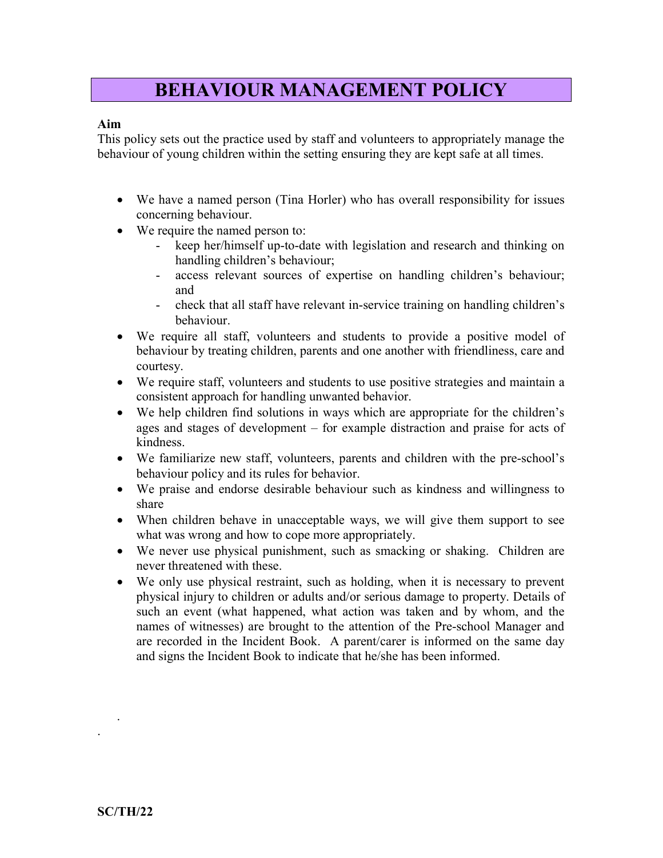## BEHAVIOUR MANAGEMENT POLICY

## Aim

This policy sets out the practice used by staff and volunteers to appropriately manage the behaviour of young children within the setting ensuring they are kept safe at all times.

- We have a named person (Tina Horler) who has overall responsibility for issues concerning behaviour.
- We require the named person to:
	- keep her/himself up-to-date with legislation and research and thinking on handling children's behaviour;
	- access relevant sources of expertise on handling children's behaviour; and
	- check that all staff have relevant in-service training on handling children's behaviour.
- We require all staff, volunteers and students to provide a positive model of behaviour by treating children, parents and one another with friendliness, care and courtesy.
- We require staff, volunteers and students to use positive strategies and maintain a consistent approach for handling unwanted behavior.
- We help children find solutions in ways which are appropriate for the children's ages and stages of development – for example distraction and praise for acts of kindness.
- We familiarize new staff, volunteers, parents and children with the pre-school's behaviour policy and its rules for behavior.
- We praise and endorse desirable behaviour such as kindness and willingness to share
- When children behave in unacceptable ways, we will give them support to see what was wrong and how to cope more appropriately.
- We never use physical punishment, such as smacking or shaking. Children are never threatened with these.
- We only use physical restraint, such as holding, when it is necessary to prevent physical injury to children or adults and/or serious damage to property. Details of such an event (what happened, what action was taken and by whom, and the names of witnesses) are brought to the attention of the Pre-school Manager and are recorded in the Incident Book. A parent/carer is informed on the same day and signs the Incident Book to indicate that he/she has been informed.

.

.